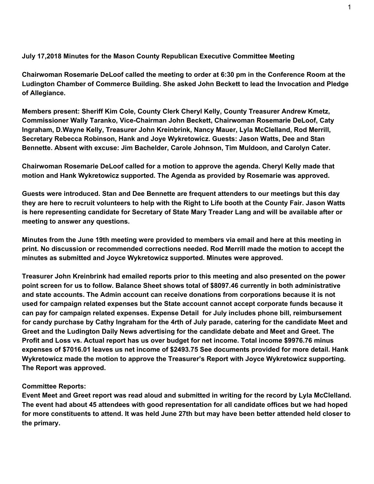## **July 17,2018 Minutes for the Mason County Republican Executive Committee Meeting**

**Chairwoman Rosemarie DeLoof called the meeting to order at 6:30 pm in the Conference Room at the Ludington Chamber of Commerce Building. She asked John Beckett to lead the Invocation and Pledge of Allegiance.**

**Members present: Sheriff Kim Cole, County Clerk Cheryl Kelly, County Treasurer Andrew Kmetz, Commissioner Wally Taranko, Vice-Chairman John Beckett, Chairwoman Rosemarie DeLoof, Caty Ingraham, D.Wayne Kelly, Treasurer John Kreinbrink, Nancy Mauer, Lyla McClelland, Rod Merrill, Secretary Rebecca Robinson, Hank and Joye Wykretowicz. Guests: Jason Watts, Dee and Stan Bennette. Absent with excuse: Jim Bachelder, Carole Johnson, Tim Muldoon, and Carolyn Cater.**

**Chairwoman Rosemarie DeLoof called for a motion to approve the agenda. Cheryl Kelly made that motion and Hank Wykretowicz supported. The Agenda as provided by Rosemarie was approved.**

**Guests were introduced. Stan and Dee Bennette are frequent attenders to our meetings but this day** they are here to recruit volunteers to help with the Right to Life booth at the County Fair. Jason Watts **is here representing candidate for Secretary of State Mary Treader Lang and will be available after or meeting to answer any questions.**

**Minutes from the June 19th meeting were provided to members via email and here at this meeting in print. No discussion or recommended corrections needed. Rod Merrill made the motion to accept the minutes as submitted and Joyce Wykretowicz supported. Minutes were approved.**

**Treasurer John Kreinbrink had emailed reports prior to this meeting and also presented on the power point screen for us to follow. Balance Sheet shows total of \$8097.46 currently in both administrative and state accounts. The Admin account can receive donations from corporations because it is not used for campaign related expenses but the State account cannot accept corporate funds because it can pay for campaign related expenses. Expense Detail for July includes phone bill, reimbursement** for candy purchase by Cathy Ingraham for the 4rth of July parade, catering for the candidate Meet and **Greet and the Ludington Daily News advertising for the candidate debate and Meet and Greet. The Profit and Loss vs. Actual report has us over budget for net income. Total income \$9976.76 minus expenses of \$7016.01 leaves us net income of \$2493.75 See documents provided for more detail. Hank Wykretowicz made the motion to approve the Treasurer's Report with Joyce Wykretowicz supporting. The Report was approved.**

## **Committee Reports:**

Event Meet and Greet report was read aloud and submitted in writing for the record by Lyla McClelland. **The event had about 45 attendees with good representation for all candidate offices but we had hoped** for more constituents to attend. It was held June 27th but may have been better attended held closer to **the primary.**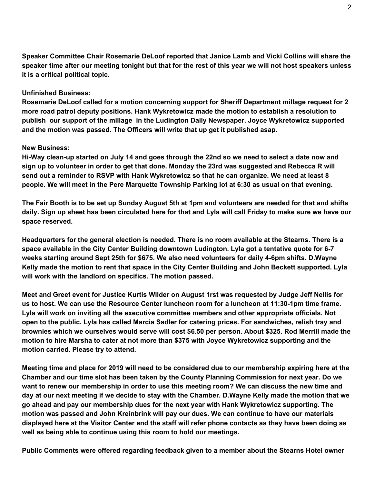**Speaker Committee Chair Rosemarie DeLoof reported that Janice Lamb and Vicki Collins will share the** speaker time after our meeting tonight but that for the rest of this year we will not host speakers unless **it is a critical political topic.**

## **Unfinished Business:**

**Rosemarie DeLoof called for a motion concerning support for Sheriff Department millage request for 2 more road patrol deputy positions. Hank Wykretowicz made the motion to establish a resolution to publish our support of the millage in the Ludington Daily Newspaper. Joyce Wykretowicz supported and the motion was passed. The Officers will write that up get it published asap.**

## **New Business:**

Hi-Way clean-up started on July 14 and goes through the 22nd so we need to select a date now and sign up to volunteer in order to get that done. Monday the 23rd was suggested and Rebecca R will send out a reminder to RSVP with Hank Wykretowicz so that he can organize. We need at least 8 **people. We will meet in the Pere Marquette Township Parking lot at 6:30 as usual on that evening.**

The Fair Booth is to be set up Sunday August 5th at 1pm and volunteers are needed for that and shifts daily. Sign up sheet has been circulated here for that and Lyla will call Friday to make sure we have our **space reserved.**

Headquarters for the general election is needed. There is no room available at the Stearns. There is a **space available in the City Center Building downtown Ludington. Lyla got a tentative quote for 6-7 weeks starting around Sept 25th for \$675. We also need volunteers for daily 4-6pm shifts. D.Wayne** Kelly made the motion to rent that space in the City Center Building and John Beckett supported. Lyla **will work with the landlord on specifics. The motion passed.**

Meet and Greet event for Justice Kurtis Wilder on August 1rst was requested by Judge Jeff Nellis for **us to host. We can use the Resource Center luncheon room for a luncheon at 11:30-1pm time frame. Lyla will work on inviting all the executive committee members and other appropriate officials. Not open to the public. Lyla has called Marcia Sadler for catering prices. For sandwiches, relish tray and brownies which we ourselves would serve will cost \$6.50 per person. About \$325. Rod Merrill made the motion to hire Marsha to cater at not more than \$375 with Joyce Wykretowicz supporting and the motion carried. Please try to attend.**

Meeting time and place for 2019 will need to be considered due to our membership expiring here at the **Chamber and our time slot has been taken by the County Planning Commission for next year. Do we** want to renew our membership in order to use this meeting room? We can discuss the new time and day at our next meeting if we decide to stay with the Chamber. D. Wayne Kelly made the motion that we **go ahead and pay our membership dues for the next year with Hank Wykretowicz supporting. The motion was passed and John Kreinbrink will pay our dues. We can continue to have our materials** displayed here at the Visitor Center and the staff will refer phone contacts as they have been doing as **well as being able to continue using this room to hold our meetings.**

**Public Comments were offered regarding feedback given to a member about the Stearns Hotel owner**